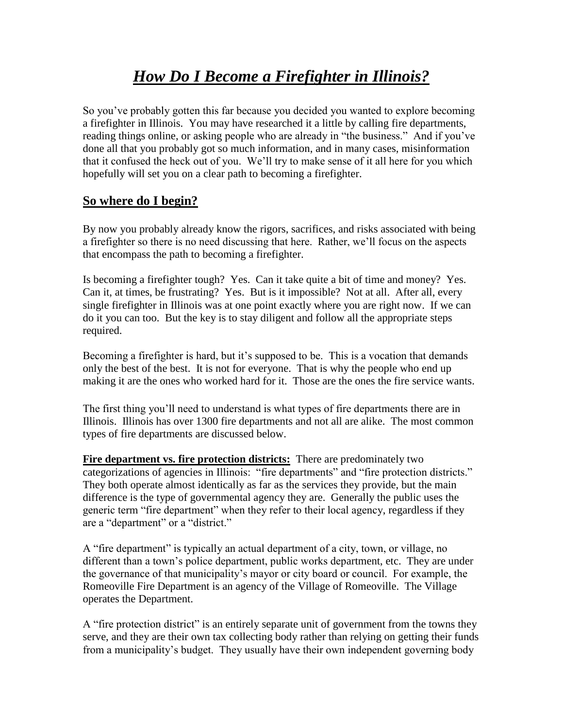## *How Do I Become a Firefighter in Illinois?*

So you've probably gotten this far because you decided you wanted to explore becoming a firefighter in Illinois. You may have researched it a little by calling fire departments, reading things online, or asking people who are already in "the business." And if you've done all that you probably got so much information, and in many cases, misinformation that it confused the heck out of you. We'll try to make sense of it all here for you which hopefully will set you on a clear path to becoming a firefighter.

#### **So where do I begin?**

By now you probably already know the rigors, sacrifices, and risks associated with being a firefighter so there is no need discussing that here. Rather, we'll focus on the aspects that encompass the path to becoming a firefighter.

Is becoming a firefighter tough? Yes. Can it take quite a bit of time and money? Yes. Can it, at times, be frustrating? Yes. But is it impossible? Not at all. After all, every single firefighter in Illinois was at one point exactly where you are right now. If we can do it you can too. But the key is to stay diligent and follow all the appropriate steps required.

Becoming a firefighter is hard, but it's supposed to be. This is a vocation that demands only the best of the best. It is not for everyone. That is why the people who end up making it are the ones who worked hard for it. Those are the ones the fire service wants.

The first thing you'll need to understand is what types of fire departments there are in Illinois. Illinois has over 1300 fire departments and not all are alike. The most common types of fire departments are discussed below.

**Fire department vs. fire protection districts:** There are predominately two categorizations of agencies in Illinois: "fire departments" and "fire protection districts." They both operate almost identically as far as the services they provide, but the main difference is the type of governmental agency they are. Generally the public uses the generic term "fire department" when they refer to their local agency, regardless if they are a "department" or a "district."

A "fire department" is typically an actual department of a city, town, or village, no different than a town's police department, public works department, etc. They are under the governance of that municipality's mayor or city board or council. For example, the Romeoville Fire Department is an agency of the Village of Romeoville. The Village operates the Department.

A "fire protection district" is an entirely separate unit of government from the towns they serve, and they are their own tax collecting body rather than relying on getting their funds from a municipality's budget. They usually have their own independent governing body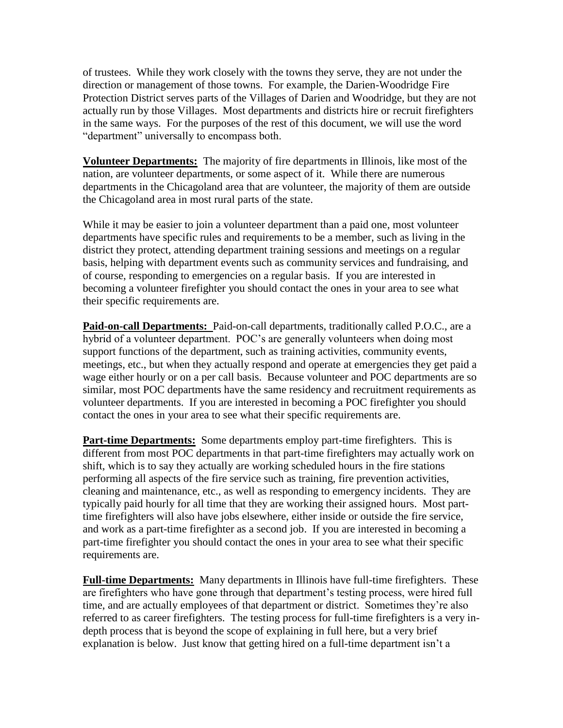of trustees. While they work closely with the towns they serve, they are not under the direction or management of those towns. For example, the Darien-Woodridge Fire Protection District serves parts of the Villages of Darien and Woodridge, but they are not actually run by those Villages. Most departments and districts hire or recruit firefighters in the same ways. For the purposes of the rest of this document, we will use the word "department" universally to encompass both.

**Volunteer Departments:** The majority of fire departments in Illinois, like most of the nation, are volunteer departments, or some aspect of it. While there are numerous departments in the Chicagoland area that are volunteer, the majority of them are outside the Chicagoland area in most rural parts of the state.

While it may be easier to join a volunteer department than a paid one, most volunteer departments have specific rules and requirements to be a member, such as living in the district they protect, attending department training sessions and meetings on a regular basis, helping with department events such as community services and fundraising, and of course, responding to emergencies on a regular basis. If you are interested in becoming a volunteer firefighter you should contact the ones in your area to see what their specific requirements are.

**Paid-on-call Departments:** Paid-on-call departments, traditionally called P.O.C., are a hybrid of a volunteer department. POC's are generally volunteers when doing most support functions of the department, such as training activities, community events, meetings, etc., but when they actually respond and operate at emergencies they get paid a wage either hourly or on a per call basis. Because volunteer and POC departments are so similar, most POC departments have the same residency and recruitment requirements as volunteer departments. If you are interested in becoming a POC firefighter you should contact the ones in your area to see what their specific requirements are.

**Part-time Departments:** Some departments employ part-time firefighters. This is different from most POC departments in that part-time firefighters may actually work on shift, which is to say they actually are working scheduled hours in the fire stations performing all aspects of the fire service such as training, fire prevention activities, cleaning and maintenance, etc., as well as responding to emergency incidents. They are typically paid hourly for all time that they are working their assigned hours. Most parttime firefighters will also have jobs elsewhere, either inside or outside the fire service, and work as a part-time firefighter as a second job. If you are interested in becoming a part-time firefighter you should contact the ones in your area to see what their specific requirements are.

**Full-time Departments:** Many departments in Illinois have full-time firefighters. These are firefighters who have gone through that department's testing process, were hired full time, and are actually employees of that department or district. Sometimes they're also referred to as career firefighters. The testing process for full-time firefighters is a very indepth process that is beyond the scope of explaining in full here, but a very brief explanation is below. Just know that getting hired on a full-time department isn't a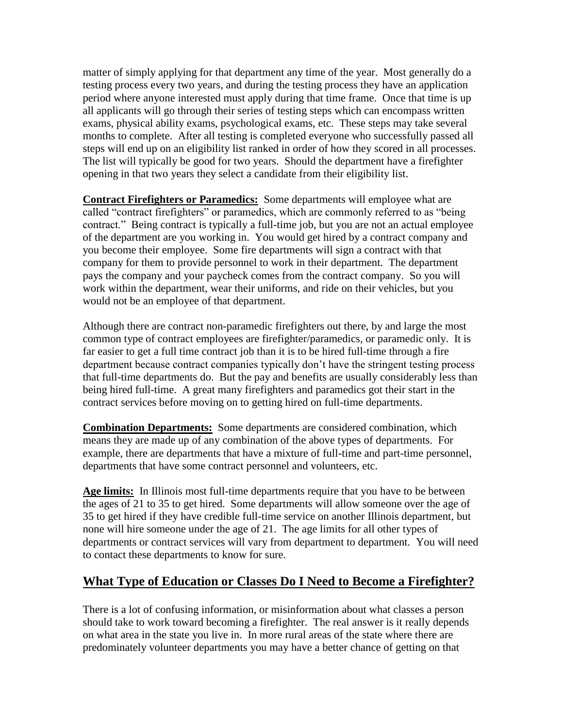matter of simply applying for that department any time of the year. Most generally do a testing process every two years, and during the testing process they have an application period where anyone interested must apply during that time frame. Once that time is up all applicants will go through their series of testing steps which can encompass written exams, physical ability exams, psychological exams, etc. These steps may take several months to complete. After all testing is completed everyone who successfully passed all steps will end up on an eligibility list ranked in order of how they scored in all processes. The list will typically be good for two years. Should the department have a firefighter opening in that two years they select a candidate from their eligibility list.

**Contract Firefighters or Paramedics:** Some departments will employee what are called "contract firefighters" or paramedics, which are commonly referred to as "being contract." Being contract is typically a full-time job, but you are not an actual employee of the department are you working in. You would get hired by a contract company and you become their employee. Some fire departments will sign a contract with that company for them to provide personnel to work in their department. The department pays the company and your paycheck comes from the contract company. So you will work within the department, wear their uniforms, and ride on their vehicles, but you would not be an employee of that department.

Although there are contract non-paramedic firefighters out there, by and large the most common type of contract employees are firefighter/paramedics, or paramedic only. It is far easier to get a full time contract job than it is to be hired full-time through a fire department because contract companies typically don't have the stringent testing process that full-time departments do. But the pay and benefits are usually considerably less than being hired full-time. A great many firefighters and paramedics got their start in the contract services before moving on to getting hired on full-time departments.

**Combination Departments:** Some departments are considered combination, which means they are made up of any combination of the above types of departments. For example, there are departments that have a mixture of full-time and part-time personnel, departments that have some contract personnel and volunteers, etc.

**Age limits:** In Illinois most full-time departments require that you have to be between the ages of 21 to 35 to get hired. Some departments will allow someone over the age of 35 to get hired if they have credible full-time service on another Illinois department, but none will hire someone under the age of 21. The age limits for all other types of departments or contract services will vary from department to department. You will need to contact these departments to know for sure.

#### **What Type of Education or Classes Do I Need to Become a Firefighter?**

There is a lot of confusing information, or misinformation about what classes a person should take to work toward becoming a firefighter. The real answer is it really depends on what area in the state you live in. In more rural areas of the state where there are predominately volunteer departments you may have a better chance of getting on that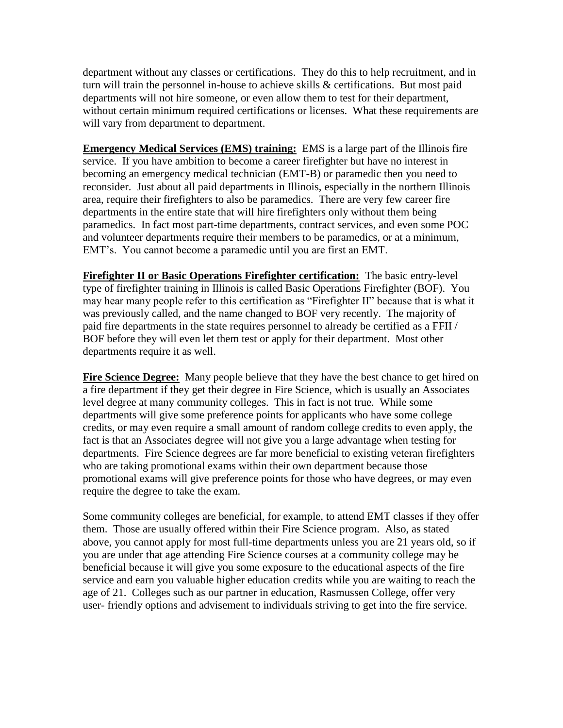department without any classes or certifications. They do this to help recruitment, and in turn will train the personnel in-house to achieve skills & certifications. But most paid departments will not hire someone, or even allow them to test for their department, without certain minimum required certifications or licenses. What these requirements are will vary from department to department.

**Emergency Medical Services (EMS) training:** EMS is a large part of the Illinois fire service. If you have ambition to become a career firefighter but have no interest in becoming an emergency medical technician (EMT-B) or paramedic then you need to reconsider. Just about all paid departments in Illinois, especially in the northern Illinois area, require their firefighters to also be paramedics. There are very few career fire departments in the entire state that will hire firefighters only without them being paramedics. In fact most part-time departments, contract services, and even some POC and volunteer departments require their members to be paramedics, or at a minimum, EMT's. You cannot become a paramedic until you are first an EMT.

**Firefighter II or Basic Operations Firefighter certification:** The basic entry-level type of firefighter training in Illinois is called Basic Operations Firefighter (BOF). You may hear many people refer to this certification as "Firefighter II" because that is what it was previously called, and the name changed to BOF very recently. The majority of paid fire departments in the state requires personnel to already be certified as a FFII / BOF before they will even let them test or apply for their department. Most other departments require it as well.

**Fire Science Degree:** Many people believe that they have the best chance to get hired on a fire department if they get their degree in Fire Science, which is usually an Associates level degree at many community colleges. This in fact is not true. While some departments will give some preference points for applicants who have some college credits, or may even require a small amount of random college credits to even apply, the fact is that an Associates degree will not give you a large advantage when testing for departments. Fire Science degrees are far more beneficial to existing veteran firefighters who are taking promotional exams within their own department because those promotional exams will give preference points for those who have degrees, or may even require the degree to take the exam.

Some community colleges are beneficial, for example, to attend EMT classes if they offer them. Those are usually offered within their Fire Science program. Also, as stated above, you cannot apply for most full-time departments unless you are 21 years old, so if you are under that age attending Fire Science courses at a community college may be beneficial because it will give you some exposure to the educational aspects of the fire service and earn you valuable higher education credits while you are waiting to reach the age of 21. Colleges such as our partner in education, Rasmussen College, offer very user- friendly options and advisement to individuals striving to get into the fire service.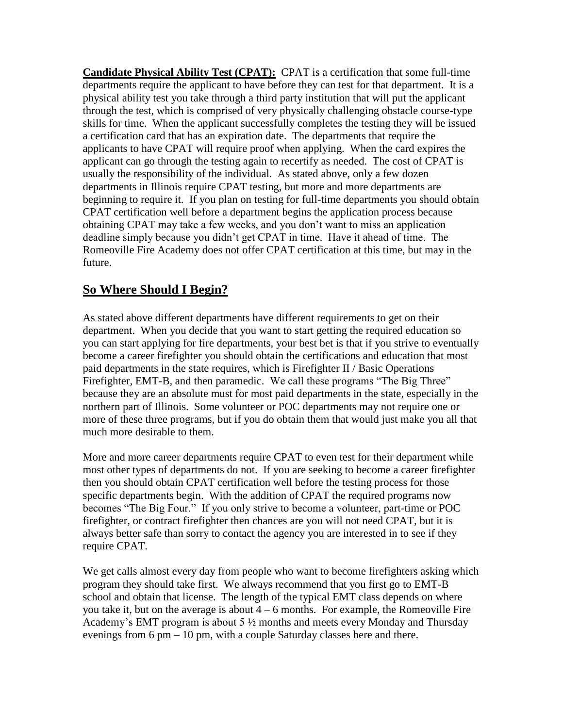**Candidate Physical Ability Test (CPAT):** CPAT is a certification that some full-time departments require the applicant to have before they can test for that department. It is a physical ability test you take through a third party institution that will put the applicant through the test, which is comprised of very physically challenging obstacle course-type skills for time. When the applicant successfully completes the testing they will be issued a certification card that has an expiration date. The departments that require the applicants to have CPAT will require proof when applying. When the card expires the applicant can go through the testing again to recertify as needed. The cost of CPAT is usually the responsibility of the individual. As stated above, only a few dozen departments in Illinois require CPAT testing, but more and more departments are beginning to require it. If you plan on testing for full-time departments you should obtain CPAT certification well before a department begins the application process because obtaining CPAT may take a few weeks, and you don't want to miss an application deadline simply because you didn't get CPAT in time. Have it ahead of time. The Romeoville Fire Academy does not offer CPAT certification at this time, but may in the future.

### **So Where Should I Begin?**

As stated above different departments have different requirements to get on their department. When you decide that you want to start getting the required education so you can start applying for fire departments, your best bet is that if you strive to eventually become a career firefighter you should obtain the certifications and education that most paid departments in the state requires, which is Firefighter II / Basic Operations Firefighter, EMT-B, and then paramedic. We call these programs "The Big Three" because they are an absolute must for most paid departments in the state, especially in the northern part of Illinois. Some volunteer or POC departments may not require one or more of these three programs, but if you do obtain them that would just make you all that much more desirable to them.

More and more career departments require CPAT to even test for their department while most other types of departments do not. If you are seeking to become a career firefighter then you should obtain CPAT certification well before the testing process for those specific departments begin. With the addition of CPAT the required programs now becomes "The Big Four." If you only strive to become a volunteer, part-time or POC firefighter, or contract firefighter then chances are you will not need CPAT, but it is always better safe than sorry to contact the agency you are interested in to see if they require CPAT.

We get calls almost every day from people who want to become firefighters asking which program they should take first. We always recommend that you first go to EMT-B school and obtain that license. The length of the typical EMT class depends on where you take it, but on the average is about  $4 - 6$  months. For example, the Romeoville Fire Academy's EMT program is about 5 ½ months and meets every Monday and Thursday evenings from 6 pm – 10 pm, with a couple Saturday classes here and there.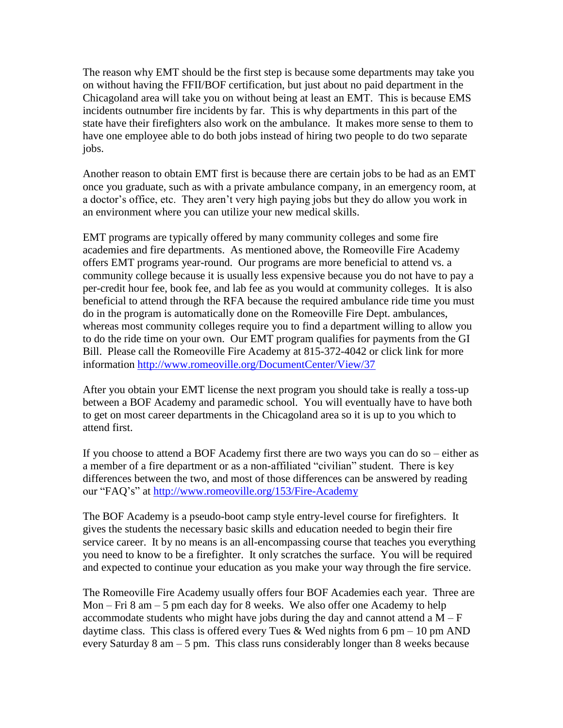The reason why EMT should be the first step is because some departments may take you on without having the FFII/BOF certification, but just about no paid department in the Chicagoland area will take you on without being at least an EMT. This is because EMS incidents outnumber fire incidents by far. This is why departments in this part of the state have their firefighters also work on the ambulance. It makes more sense to them to have one employee able to do both jobs instead of hiring two people to do two separate jobs.

Another reason to obtain EMT first is because there are certain jobs to be had as an EMT once you graduate, such as with a private ambulance company, in an emergency room, at a doctor's office, etc. They aren't very high paying jobs but they do allow you work in an environment where you can utilize your new medical skills.

EMT programs are typically offered by many community colleges and some fire academies and fire departments. As mentioned above, the Romeoville Fire Academy offers EMT programs year-round. Our programs are more beneficial to attend vs. a community college because it is usually less expensive because you do not have to pay a per-credit hour fee, book fee, and lab fee as you would at community colleges. It is also beneficial to attend through the RFA because the required ambulance ride time you must do in the program is automatically done on the Romeoville Fire Dept. ambulances, whereas most community colleges require you to find a department willing to allow you to do the ride time on your own. Our EMT program qualifies for payments from the GI Bill. Please call the Romeoville Fire Academy at 815-372-4042 or click link for more information <http://www.romeoville.org/DocumentCenter/View/37>

After you obtain your EMT license the next program you should take is really a toss-up between a BOF Academy and paramedic school. You will eventually have to have both to get on most career departments in the Chicagoland area so it is up to you which to attend first.

If you choose to attend a BOF Academy first there are two ways you can do so – either as a member of a fire department or as a non-affiliated "civilian" student. There is key differences between the two, and most of those differences can be answered by reading our "FAQ's" at<http://www.romeoville.org/153/Fire-Academy>

The BOF Academy is a pseudo-boot camp style entry-level course for firefighters. It gives the students the necessary basic skills and education needed to begin their fire service career. It by no means is an all-encompassing course that teaches you everything you need to know to be a firefighter. It only scratches the surface. You will be required and expected to continue your education as you make your way through the fire service.

The Romeoville Fire Academy usually offers four BOF Academies each year. Three are Mon – Fri 8 am – 5 pm each day for 8 weeks. We also offer one Academy to help accommodate students who might have jobs during the day and cannot attend a  $M - F$ daytime class. This class is offered every Tues & Wed nights from  $6 \text{ pm} - 10 \text{ pm}$  AND every Saturday 8 am – 5 pm. This class runs considerably longer than 8 weeks because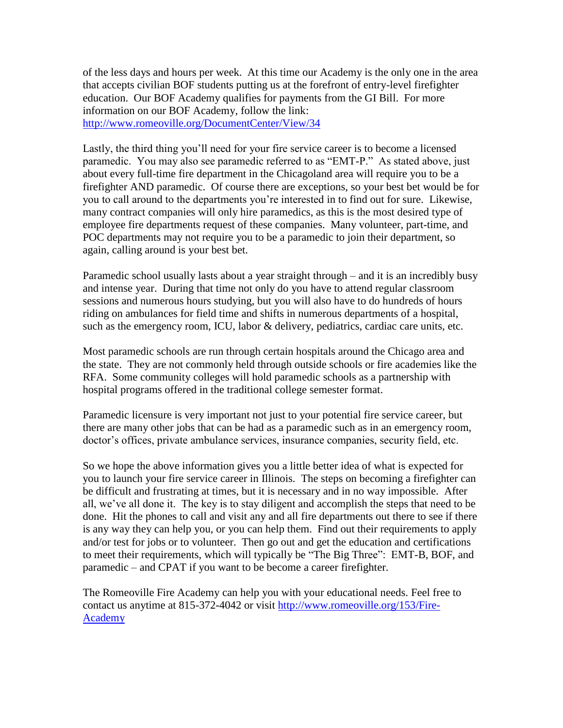of the less days and hours per week. At this time our Academy is the only one in the area that accepts civilian BOF students putting us at the forefront of entry-level firefighter education. Our BOF Academy qualifies for payments from the GI Bill. For more information on our BOF Academy, follow the link: <http://www.romeoville.org/DocumentCenter/View/34>

Lastly, the third thing you'll need for your fire service career is to become a licensed paramedic. You may also see paramedic referred to as "EMT-P." As stated above, just about every full-time fire department in the Chicagoland area will require you to be a firefighter AND paramedic. Of course there are exceptions, so your best bet would be for you to call around to the departments you're interested in to find out for sure. Likewise, many contract companies will only hire paramedics, as this is the most desired type of employee fire departments request of these companies. Many volunteer, part-time, and POC departments may not require you to be a paramedic to join their department, so again, calling around is your best bet.

Paramedic school usually lasts about a year straight through – and it is an incredibly busy and intense year. During that time not only do you have to attend regular classroom sessions and numerous hours studying, but you will also have to do hundreds of hours riding on ambulances for field time and shifts in numerous departments of a hospital, such as the emergency room, ICU, labor & delivery, pediatrics, cardiac care units, etc.

Most paramedic schools are run through certain hospitals around the Chicago area and the state. They are not commonly held through outside schools or fire academies like the RFA. Some community colleges will hold paramedic schools as a partnership with hospital programs offered in the traditional college semester format.

Paramedic licensure is very important not just to your potential fire service career, but there are many other jobs that can be had as a paramedic such as in an emergency room, doctor's offices, private ambulance services, insurance companies, security field, etc.

So we hope the above information gives you a little better idea of what is expected for you to launch your fire service career in Illinois. The steps on becoming a firefighter can be difficult and frustrating at times, but it is necessary and in no way impossible. After all, we've all done it. The key is to stay diligent and accomplish the steps that need to be done. Hit the phones to call and visit any and all fire departments out there to see if there is any way they can help you, or you can help them. Find out their requirements to apply and/or test for jobs or to volunteer. Then go out and get the education and certifications to meet their requirements, which will typically be "The Big Three": EMT-B, BOF, and paramedic – and CPAT if you want to be become a career firefighter.

The Romeoville Fire Academy can help you with your educational needs. Feel free to contact us anytime at 815-372-4042 or visit [http://www.romeoville.org/153/Fire-](http://www.romeoville.org/153/Fire-Academy)[Academy](http://www.romeoville.org/153/Fire-Academy)